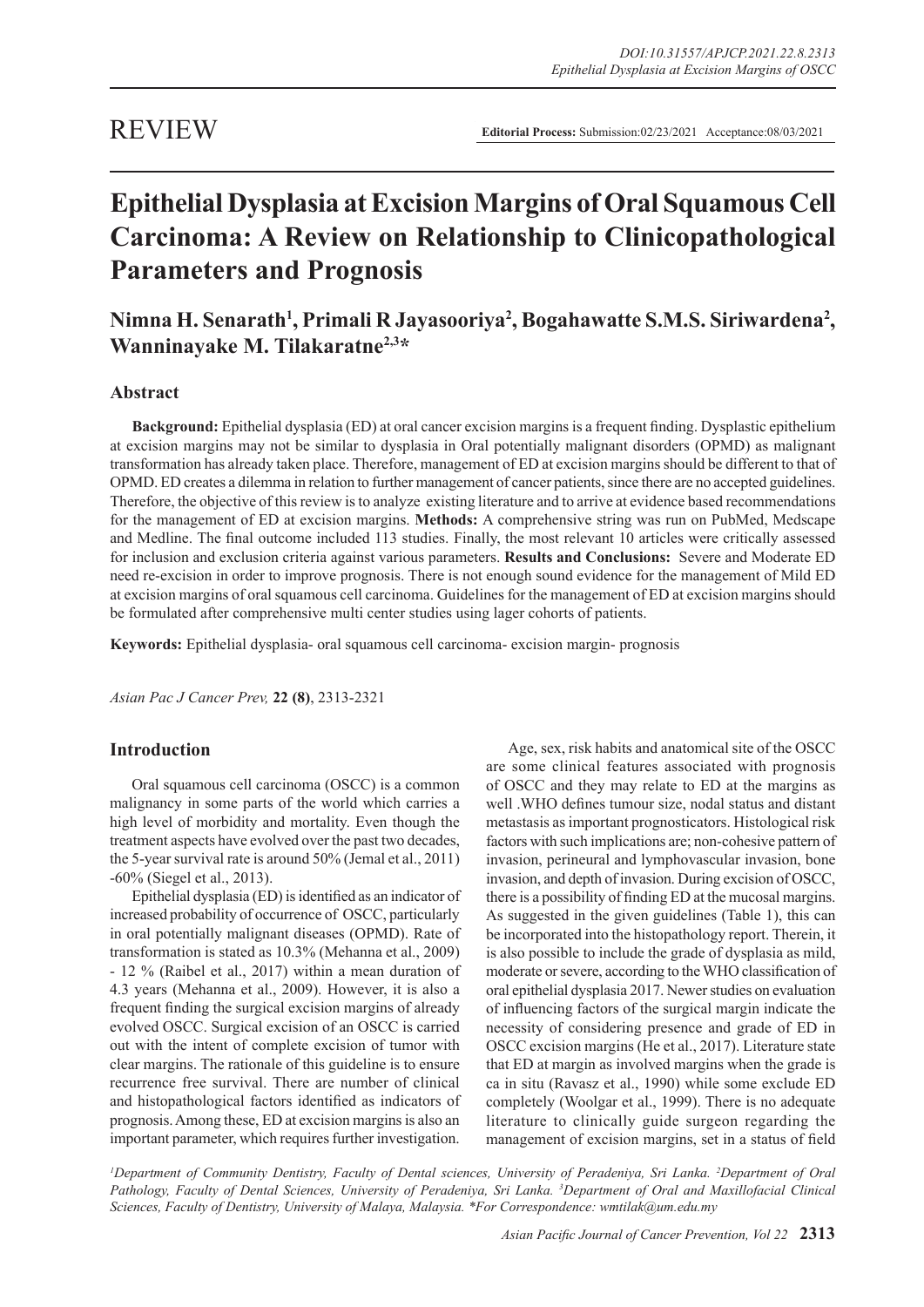**Editorial Process:** Submission:02/23/2021 Acceptance:08/03/2021

# **Epithelial Dysplasia at Excision Margins of Oral Squamous Cell Carcinoma: A Review on Relationship to Clinicopathological Parameters and Prognosis**

## Nimna H. Senarath<sup>1</sup>, Primali R Jayasooriya<sup>2</sup>, Bogahawatte S.M.S. Siriwardena<sup>2</sup>, **Wanninayake M. Tilakaratne2,3\***

## **Abstract**

**Background:** Epithelial dysplasia (ED) at oral cancer excision margins is a frequent finding. Dysplastic epithelium at excision margins may not be similar to dysplasia in Oral potentially malignant disorders (OPMD) as malignant transformation has already taken place. Therefore, management of ED at excision margins should be different to that of OPMD. ED creates a dilemma in relation to further management of cancer patients, since there are no accepted guidelines. Therefore, the objective of this review is to analyze existing literature and to arrive at evidence based recommendations for the management of ED at excision margins. **Methods:** A comprehensive string was run on PubMed, Medscape and Medline. The final outcome included 113 studies. Finally, the most relevant 10 articles were critically assessed for inclusion and exclusion criteria against various parameters. **Results and Conclusions:** Severe and Moderate ED need re-excision in order to improve prognosis. There is not enough sound evidence for the management of Mild ED at excision margins of oral squamous cell carcinoma. Guidelines for the management of ED at excision margins should be formulated after comprehensive multi center studies using lager cohorts of patients.

**Keywords:** Epithelial dysplasia- oral squamous cell carcinoma- excision margin- prognosis

*Asian Pac J Cancer Prev,* **22 (8)**, 2313-2321

## **Introduction**

Oral squamous cell carcinoma (OSCC) is a common malignancy in some parts of the world which carries a high level of morbidity and mortality. Even though the treatment aspects have evolved over the past two decades, the 5-year survival rate is around 50% (Jemal et al., 2011) -60% (Siegel et al., 2013).

Epithelial dysplasia (ED) is identified as an indicator of increased probability of occurrence of OSCC, particularly in oral potentially malignant diseases (OPMD). Rate of transformation is stated as 10.3% (Mehanna et al., 2009) - 12 % (Raibel et al., 2017) within a mean duration of 4.3 years (Mehanna et al., 2009). However, it is also a frequent finding the surgical excision margins of already evolved OSCC. Surgical excision of an OSCC is carried out with the intent of complete excision of tumor with clear margins. The rationale of this guideline is to ensure recurrence free survival. There are number of clinical and histopathological factors identified as indicators of prognosis. Among these, ED at excision margins is also an important parameter, which requires further investigation.

Age, sex, risk habits and anatomical site of the OSCC are some clinical features associated with prognosis of OSCC and they may relate to ED at the margins as well .WHO defines tumour size, nodal status and distant metastasis as important prognosticators. Histological risk factors with such implications are; non-cohesive pattern of invasion, perineural and lymphovascular invasion, bone invasion, and depth of invasion. During excision of OSCC, there is a possibility of finding ED at the mucosal margins. As suggested in the given guidelines (Table 1), this can be incorporated into the histopathology report. Therein, it is also possible to include the grade of dysplasia as mild, moderate or severe, according to the WHO classification of oral epithelial dysplasia 2017. Newer studies on evaluation of influencing factors of the surgical margin indicate the necessity of considering presence and grade of ED in OSCC excision margins (He et al., 2017). Literature state that ED at margin as involved margins when the grade is ca in situ (Ravasz et al., 1990) while some exclude ED completely (Woolgar et al., 1999). There is no adequate literature to clinically guide surgeon regarding the management of excision margins, set in a status of field

*1 Department of Community Dentistry, Faculty of Dental sciences, University of Peradeniya, Sri Lanka. 2 Department of Oral Pathology, Faculty of Dental Sciences, University of Peradeniya, Sri Lanka. 3 Department of Oral and Maxillofacial Clinical Sciences, Faculty of Dentistry, University of Malaya, Malaysia. \*For Correspondence: wmtilak@um.edu.my*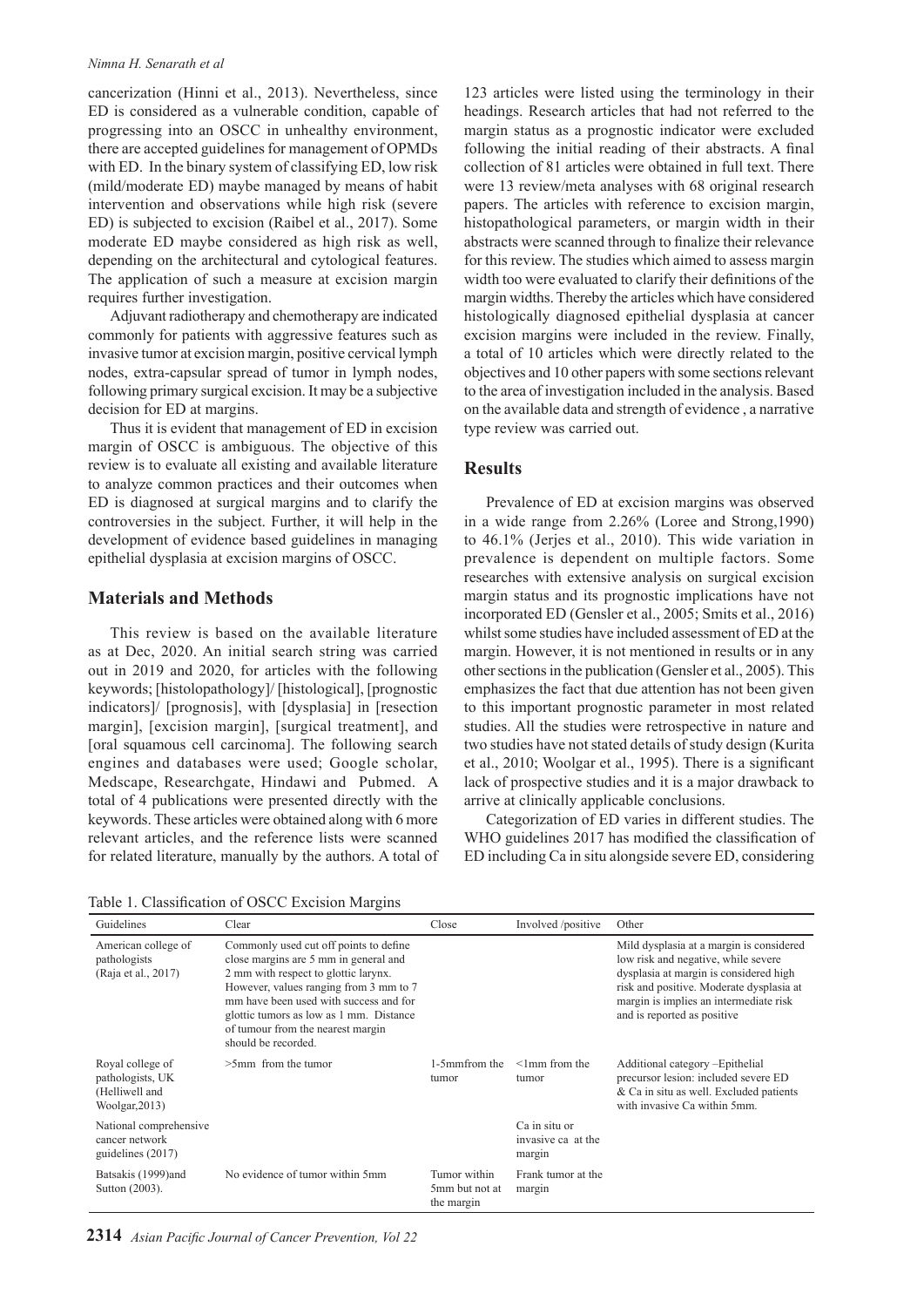#### *Nimna H. Senarath et al*

cancerization (Hinni et al., 2013). Nevertheless, since ED is considered as a vulnerable condition, capable of progressing into an OSCC in unhealthy environment, there are accepted guidelines for management of OPMDs with ED. In the binary system of classifying ED, low risk (mild/moderate ED) maybe managed by means of habit intervention and observations while high risk (severe ED) is subjected to excision (Raibel et al., 2017). Some moderate ED maybe considered as high risk as well, depending on the architectural and cytological features. The application of such a measure at excision margin requires further investigation.

Adjuvant radiotherapy and chemotherapy are indicated commonly for patients with aggressive features such as invasive tumor at excision margin, positive cervical lymph nodes, extra-capsular spread of tumor in lymph nodes, following primary surgical excision. It may be a subjective decision for ED at margins.

Thus it is evident that management of ED in excision margin of OSCC is ambiguous. The objective of this review is to evaluate all existing and available literature to analyze common practices and their outcomes when ED is diagnosed at surgical margins and to clarify the controversies in the subject. Further, it will help in the development of evidence based guidelines in managing epithelial dysplasia at excision margins of OSCC.

## **Materials and Methods**

This review is based on the available literature as at Dec, 2020. An initial search string was carried out in 2019 and 2020, for articles with the following keywords; [histolopathology]/ [histological], [prognostic indicators]/ [prognosis], with [dysplasia] in [resection margin], [excision margin], [surgical treatment], and [oral squamous cell carcinoma]. The following search engines and databases were used; Google scholar, Medscape, Researchgate, Hindawi and Pubmed. A total of 4 publications were presented directly with the keywords. These articles were obtained along with 6 more relevant articles, and the reference lists were scanned for related literature, manually by the authors. A total of

123 articles were listed using the terminology in their headings. Research articles that had not referred to the margin status as a prognostic indicator were excluded following the initial reading of their abstracts. A final collection of 81 articles were obtained in full text. There were 13 review/meta analyses with 68 original research papers. The articles with reference to excision margin, histopathological parameters, or margin width in their abstracts were scanned through to finalize their relevance for this review. The studies which aimed to assess margin width too were evaluated to clarify their definitions of the margin widths. Thereby the articles which have considered histologically diagnosed epithelial dysplasia at cancer excision margins were included in the review. Finally, a total of 10 articles which were directly related to the objectives and 10 other papers with some sections relevant to the area of investigation included in the analysis. Based on the available data and strength of evidence , a narrative type review was carried out.

## **Results**

Prevalence of ED at excision margins was observed in a wide range from 2.26% (Loree and Strong,1990) to 46.1% (Jerjes et al., 2010). This wide variation in prevalence is dependent on multiple factors. Some researches with extensive analysis on surgical excision margin status and its prognostic implications have not incorporated ED (Gensler et al., 2005; Smits et al., 2016) whilst some studies have included assessment of ED at the margin. However, it is not mentioned in results or in any other sections in the publication (Gensler et al., 2005). This emphasizes the fact that due attention has not been given to this important prognostic parameter in most related studies. All the studies were retrospective in nature and two studies have not stated details of study design (Kurita et al., 2010; Woolgar et al., 1995). There is a significant lack of prospective studies and it is a major drawback to arrive at clinically applicable conclusions.

Categorization of ED varies in different studies. The WHO guidelines 2017 has modified the classification of ED including Ca in situ alongside severe ED, considering

Table 1. Classification of OSCC Excision Margins

| Guidelines                                                                  | Clear                                                                                                                                                                                                                                                                                                              | Close                                        | Involved /positive                            | Other                                                                                                                                                                                                                                          |
|-----------------------------------------------------------------------------|--------------------------------------------------------------------------------------------------------------------------------------------------------------------------------------------------------------------------------------------------------------------------------------------------------------------|----------------------------------------------|-----------------------------------------------|------------------------------------------------------------------------------------------------------------------------------------------------------------------------------------------------------------------------------------------------|
| American college of<br>pathologists<br>(Raja et al., 2017)                  | Commonly used cut off points to define<br>close margins are 5 mm in general and<br>2 mm with respect to glottic larynx.<br>However, values ranging from 3 mm to 7<br>mm have been used with success and for<br>glottic tumors as low as 1 mm. Distance<br>of tumour from the nearest margin<br>should be recorded. |                                              |                                               | Mild dysplasia at a margin is considered<br>low risk and negative, while severe<br>dysplasia at margin is considered high<br>risk and positive. Moderate dysplasia at<br>margin is implies an intermediate risk<br>and is reported as positive |
| Royal college of<br>pathologists, UK<br>(Helliwell and<br>Woolgar, $2013$ ) | $>5$ mm from the tumor                                                                                                                                                                                                                                                                                             | 1-5mmfrom the<br>tumor                       | $\leq$ 1 mm from the<br>tumor                 | Additional category - Epithelial<br>precursor lesion: included severe ED<br>& Ca in situ as well. Excluded patients<br>with invasive Ca within 5mm.                                                                                            |
| National comprehensive<br>cancer network<br>guidelines (2017)               |                                                                                                                                                                                                                                                                                                                    |                                              | Ca in situ or<br>invasive ca at the<br>margin |                                                                                                                                                                                                                                                |
| Batsakis (1999)and<br>Sutton (2003).                                        | No evidence of tumor within 5mm                                                                                                                                                                                                                                                                                    | Tumor within<br>5mm but not at<br>the margin | Frank tumor at the<br>margin                  |                                                                                                                                                                                                                                                |

**2314** *Asian Pacific Journal of Cancer Prevention, Vol 22*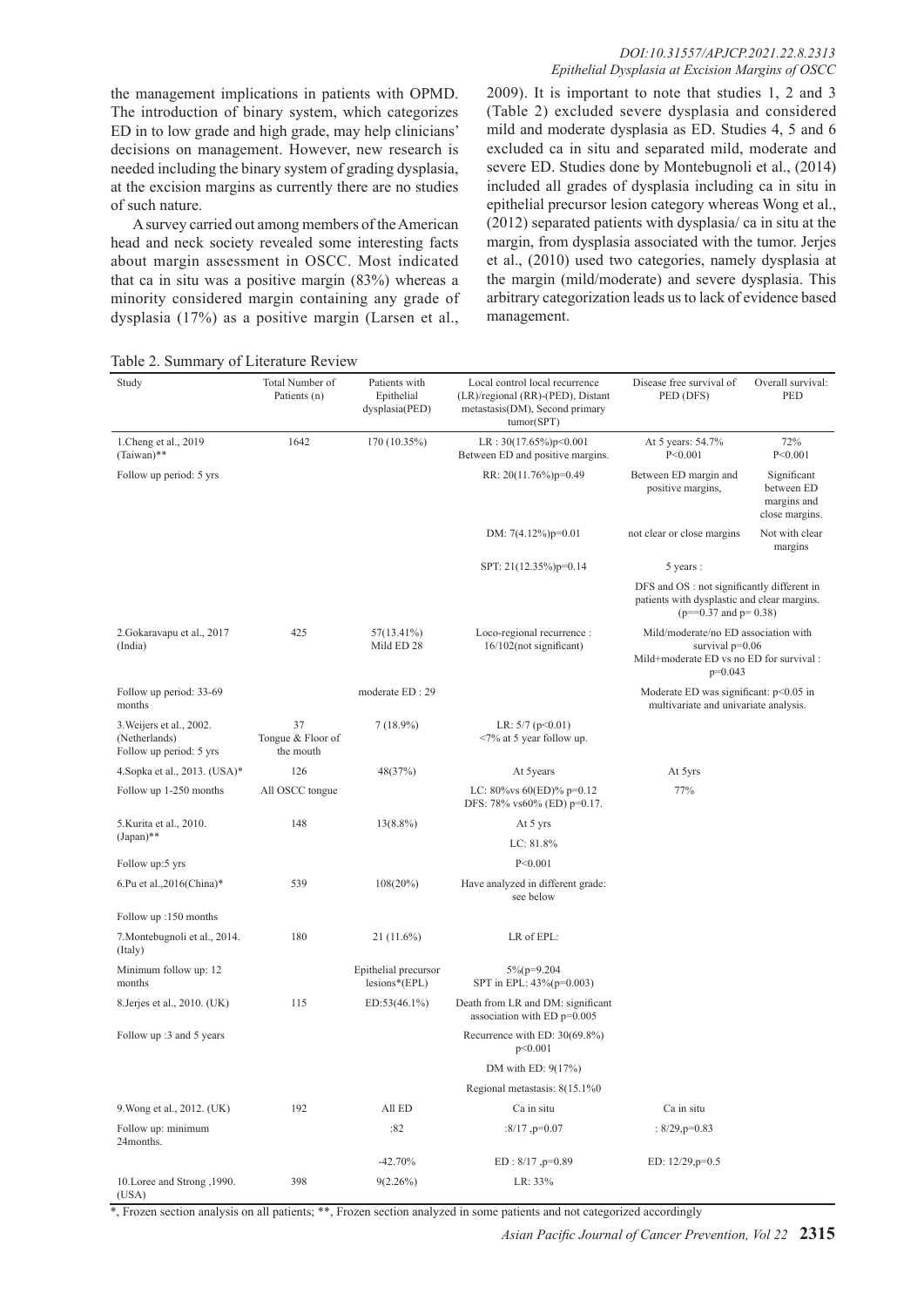#### *DOI:10.31557/APJCP.2021.22.8.2313 Epithelial Dysplasia at Excision Margins of OSCC*

the management implications in patients with OPMD. The introduction of binary system, which categorizes ED in to low grade and high grade, may help clinicians' decisions on management. However, new research is needed including the binary system of grading dysplasia, at the excision margins as currently there are no studies of such nature.

A survey carried out among members of the American head and neck society revealed some interesting facts about margin assessment in OSCC. Most indicated that ca in situ was a positive margin (83%) whereas a minority considered margin containing any grade of dysplasia (17%) as a positive margin (Larsen et al.,

2009). It is important to note that studies 1, 2 and 3 (Table 2) excluded severe dysplasia and considered mild and moderate dysplasia as ED. Studies 4, 5 and 6 excluded ca in situ and separated mild, moderate and severe ED. Studies done by Montebugnoli et al., (2014) included all grades of dysplasia including ca in situ in epithelial precursor lesion category whereas Wong et al., (2012) separated patients with dysplasia/ ca in situ at the margin, from dysplasia associated with the tumor. Jerjes et al., (2010) used two categories, namely dysplasia at the margin (mild/moderate) and severe dysplasia. This arbitrary categorization leads us to lack of evidence based management.

Table 2. Summary of Literature Review

| Study                                                                | Total Number of<br>Patients (n)      | Patients with<br>Epithelial<br>dysplasia(PED) | Local control local recurrence<br>(LR)/regional (RR)-(PED), Distant<br>metastasis(DM), Second primary<br>tumor(SPT) | Disease free survival of<br>PED (DFS)                                                                                   | Overall survival:<br>PED                                   |
|----------------------------------------------------------------------|--------------------------------------|-----------------------------------------------|---------------------------------------------------------------------------------------------------------------------|-------------------------------------------------------------------------------------------------------------------------|------------------------------------------------------------|
| 1. Cheng et al., 2019<br>(Taiwan)**                                  | 1642                                 | 170 (10.35%)                                  | LR: $30(17.65\%)p<0.001$<br>Between ED and positive margins.                                                        | At 5 years: 54.7%<br>P < 0.001                                                                                          | 72%<br>P < 0.001                                           |
| Follow up period: 5 yrs                                              |                                      |                                               | RR: 20(11.76%)p=0.49                                                                                                | Between ED margin and<br>positive margins,                                                                              | Significant<br>between ED<br>margins and<br>close margins. |
|                                                                      |                                      |                                               | DM: $7(4.12\%)p=0.01$                                                                                               | not clear or close margins                                                                                              | Not with clear<br>margins                                  |
|                                                                      |                                      |                                               | SPT: 21(12.35%)p=0.14                                                                                               | 5 years :                                                                                                               |                                                            |
|                                                                      |                                      |                                               |                                                                                                                     | DFS and OS : not significantly different in<br>patients with dysplastic and clear margins.<br>$(p=-0.37$ and $p=0.38$ ) |                                                            |
| 2. Gokaravapu et al., 2017<br>(India)                                | 425                                  | 57(13.41%)<br>Mild ED 28                      | Loco-regional recurrence :<br>16/102(not significant)                                                               | Mild/moderate/no ED association with<br>survival $p=0.06$<br>Mild+moderate ED vs no ED for survival :<br>$p=0.043$      |                                                            |
| Follow up period: 33-69<br>months                                    |                                      | moderate ED: 29                               |                                                                                                                     | Moderate ED was significant: p<0.05 in<br>multivariate and univariate analysis.                                         |                                                            |
| 3. Weijers et al., 2002.<br>(Netherlands)<br>Follow up period: 5 yrs | 37<br>Tongue & Floor of<br>the mouth | $7(18.9\%)$                                   | LR: $5/7$ ( $p<0.01$ )<br><7% at 5 year follow up.                                                                  |                                                                                                                         |                                                            |
| 4. Sopka et al., 2013. (USA)*                                        | 126                                  | 48(37%)                                       | At 5years                                                                                                           | At 5yrs                                                                                                                 |                                                            |
| Follow up 1-250 months                                               | All OSCC tongue                      |                                               | LC: $80\%$ vs $60(ED)\%$ p=0.12<br>DFS: 78% vs60% (ED) p=0.17.                                                      | 77%                                                                                                                     |                                                            |
| 5. Kurita et al., 2010.                                              | 148                                  | $13(8.8\%)$                                   | At 5 yrs                                                                                                            |                                                                                                                         |                                                            |
| $(Japan)**$                                                          |                                      |                                               | LC: 81.8%                                                                                                           |                                                                                                                         |                                                            |
| Follow up:5 yrs                                                      |                                      |                                               | P < 0.001                                                                                                           |                                                                                                                         |                                                            |
| 6.Pu et al., $2016$ (China)*                                         | 539                                  | 108(20%)                                      | Have analyzed in different grade:<br>see below                                                                      |                                                                                                                         |                                                            |
| Follow up :150 months                                                |                                      |                                               |                                                                                                                     |                                                                                                                         |                                                            |
| 7. Montebugnoli et al., 2014.<br>(Italy)                             | 180                                  | $21(11.6\%)$                                  | LR of EPL:                                                                                                          |                                                                                                                         |                                                            |
| Minimum follow up: 12<br>months                                      |                                      | Epithelial precursor<br>$lesions*(EPL)$       | $5\%$ (p=9.204<br>SPT in EPL: 43%(p=0.003)                                                                          |                                                                                                                         |                                                            |
| 8. Jerjes et al., 2010. (UK)                                         | 115                                  | $ED:53(46.1\%)$                               | Death from LR and DM: significant<br>association with ED $p=0.005$                                                  |                                                                                                                         |                                                            |
| Follow up :3 and 5 years                                             |                                      |                                               | Recurrence with ED: 30(69.8%)<br>p<0.001                                                                            |                                                                                                                         |                                                            |
|                                                                      |                                      |                                               | DM with ED: 9(17%)                                                                                                  |                                                                                                                         |                                                            |
|                                                                      |                                      |                                               | Regional metastasis: 8(15.1%0)                                                                                      |                                                                                                                         |                                                            |
| 9. Wong et al., 2012. (UK)                                           | 192                                  | All ED                                        | Ca in situ                                                                                                          | Ca in situ                                                                                                              |                                                            |
| Follow up: minimum<br>24months.                                      |                                      | :82                                           | $:8/17, p=0.07$                                                                                                     | : $8/29$ , $p=0.83$                                                                                                     |                                                            |
|                                                                      |                                      | $-42.70%$                                     | $ED: 8/17, p=0.89$                                                                                                  | ED: 12/29, p=0.5                                                                                                        |                                                            |
| 10. Loree and Strong , 1990.<br>(USA)                                | 398                                  | $9(2.26\%)$                                   | LR: 33%                                                                                                             |                                                                                                                         |                                                            |

\*, Frozen section analysis on all patients; \*\*, Frozen section analyzed in some patients and not categorized accordingly

*Asian Pacific Journal of Cancer Prevention, Vol 22* **2315**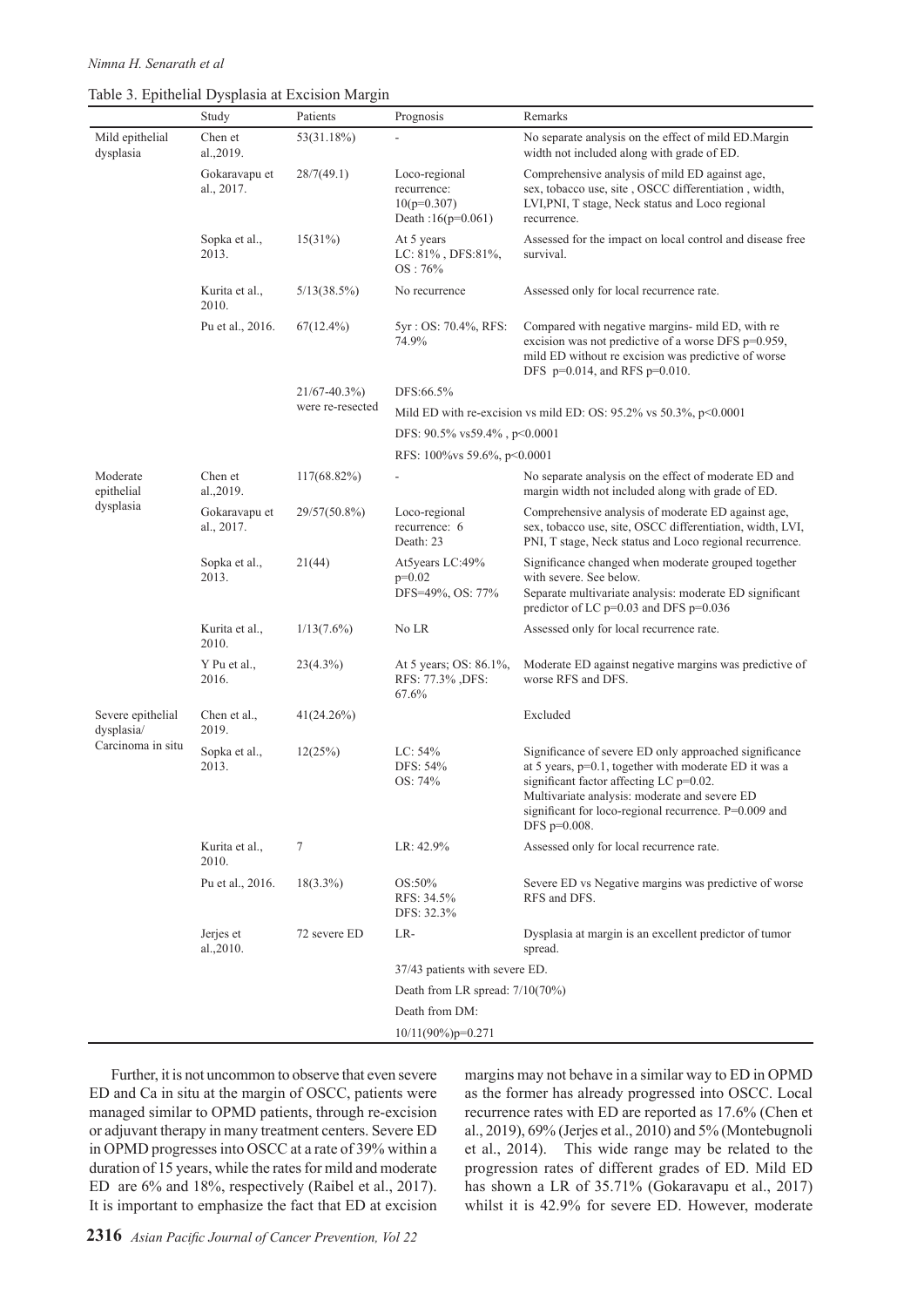|  |  |  | Table 3. Epithelial Dysplasia at Excision Margin |  |
|--|--|--|--------------------------------------------------|--|
|--|--|--|--------------------------------------------------|--|

|                                                      | Study                       | Patients          | Prognosis                                                                  | Remarks                                                                                                                                                                                                                                                                              |  |
|------------------------------------------------------|-----------------------------|-------------------|----------------------------------------------------------------------------|--------------------------------------------------------------------------------------------------------------------------------------------------------------------------------------------------------------------------------------------------------------------------------------|--|
| Mild epithelial<br>dysplasia                         | Chen et<br>al., 2019.       | 53(31.18%)        |                                                                            | No separate analysis on the effect of mild ED.Margin<br>width not included along with grade of ED.                                                                                                                                                                                   |  |
|                                                      | Gokaravapu et<br>al., 2017. | 28/7(49.1)        | Loco-regional<br>recurrence:<br>$10(p=0.307)$<br>Death: $16(p=0.061)$      | Comprehensive analysis of mild ED against age,<br>sex, tobacco use, site, OSCC differentiation, width,<br>LVI, PNI, T stage, Neck status and Loco regional<br>recurrence.                                                                                                            |  |
|                                                      | Sopka et al.,<br>2013.      | 15(31%)           | At 5 years<br>LC: 81%, DFS:81%,<br>OS:76%                                  | Assessed for the impact on local control and disease free<br>survival.                                                                                                                                                                                                               |  |
|                                                      | Kurita et al.,<br>2010.     | 5/13(38.5%)       | No recurrence                                                              | Assessed only for local recurrence rate.                                                                                                                                                                                                                                             |  |
|                                                      | Pu et al., 2016.            | $67(12.4\%)$      | 5yr: OS: 70.4%, RFS:<br>74.9%                                              | Compared with negative margins- mild ED, with re<br>excision was not predictive of a worse DFS p=0.959,<br>mild ED without re excision was predictive of worse<br>DFS $p=0.014$ , and RFS $p=0.010$ .                                                                                |  |
|                                                      |                             | $21/67 - 40.3\%)$ | DFS:66.5%                                                                  |                                                                                                                                                                                                                                                                                      |  |
|                                                      |                             | were re-resected  | Mild ED with re-excision vs mild ED: OS: $95.2\%$ vs $50.3\%$ , $p<0.0001$ |                                                                                                                                                                                                                                                                                      |  |
|                                                      |                             |                   | DFS: 90.5% vs59.4%, p<0.0001                                               |                                                                                                                                                                                                                                                                                      |  |
|                                                      |                             |                   | RFS: 100%vs 59.6%, p<0.0001                                                |                                                                                                                                                                                                                                                                                      |  |
| Moderate<br>epithelial<br>dysplasia                  | Chen et<br>al., 2019.       | 117(68.82%)       |                                                                            | No separate analysis on the effect of moderate ED and<br>margin width not included along with grade of ED.                                                                                                                                                                           |  |
|                                                      | Gokaravapu et<br>al., 2017. | 29/57(50.8%)      | Loco-regional<br>recurrence: 6<br>Death: 23                                | Comprehensive analysis of moderate ED against age,<br>sex, tobacco use, site, OSCC differentiation, width, LVI,<br>PNI, T stage, Neck status and Loco regional recurrence.                                                                                                           |  |
|                                                      | Sopka et al.,<br>2013.      | 21(44)            | At5years LC:49%<br>$p=0.02$<br>DFS=49%, OS: 77%                            | Significance changed when moderate grouped together<br>with severe. See below.<br>Separate multivariate analysis: moderate ED significant<br>predictor of LC p=0.03 and DFS p=0.036                                                                                                  |  |
|                                                      | Kurita et al.,<br>2010.     | $1/13(7.6\%)$     | No LR                                                                      | Assessed only for local recurrence rate.                                                                                                                                                                                                                                             |  |
|                                                      | Y Pu et al.,<br>2016.       | $23(4.3\%)$       | At 5 years; OS: 86.1%,<br>RFS: 77.3%, DFS:<br>67.6%                        | Moderate ED against negative margins was predictive of<br>worse RFS and DFS.                                                                                                                                                                                                         |  |
| Severe epithelial<br>dysplasia/<br>Carcinoma in situ | Chen et al.,<br>2019.       | 41(24.26%)        |                                                                            | Excluded                                                                                                                                                                                                                                                                             |  |
|                                                      | Sopka et al.,<br>2013.      | 12(25%)           | LC: 54%<br>DFS: 54%<br>OS: 74%                                             | Significance of severe ED only approached significance<br>at 5 years, p=0.1, together with moderate ED it was a<br>significant factor affecting LC p=0.02.<br>Multivariate analysis: moderate and severe ED<br>significant for loco-regional recurrence. P=0.009 and<br>DFS p=0.008. |  |
|                                                      | Kurita et al.,<br>2010.     | 7                 | LR: 42.9%                                                                  | Assessed only for local recurrence rate.                                                                                                                                                                                                                                             |  |
|                                                      | Pu et al., 2016.            | $18(3.3\%)$       | OS:50%<br>RFS: 34.5%<br>DFS: 32.3%                                         | Severe ED vs Negative margins was predictive of worse<br>RFS and DFS.                                                                                                                                                                                                                |  |
|                                                      | Jerjes et<br>al., 2010.     | 72 severe ED      | LR-                                                                        | Dysplasia at margin is an excellent predictor of tumor<br>spread.                                                                                                                                                                                                                    |  |
|                                                      |                             |                   | 37/43 patients with severe ED.                                             |                                                                                                                                                                                                                                                                                      |  |
|                                                      |                             |                   | Death from LR spread: $7/10(70\%)$                                         |                                                                                                                                                                                                                                                                                      |  |
|                                                      |                             |                   | Death from DM:                                                             |                                                                                                                                                                                                                                                                                      |  |
|                                                      |                             |                   | $10/11(90\%)p=0.271$                                                       |                                                                                                                                                                                                                                                                                      |  |

Further, it is not uncommon to observe that even severe ED and Ca in situ at the margin of OSCC, patients were managed similar to OPMD patients, through re-excision or adjuvant therapy in many treatment centers. Severe ED in OPMD progresses into OSCC at a rate of 39% within a duration of 15 years, while the rates for mild and moderate ED are 6% and 18%, respectively (Raibel et al., 2017). It is important to emphasize the fact that ED at excision

margins may not behave in a similar way to ED in OPMD as the former has already progressed into OSCC. Local recurrence rates with ED are reported as 17.6% (Chen et al., 2019), 69% (Jerjes et al., 2010) and 5% (Montebugnoli et al., 2014). This wide range may be related to the progression rates of different grades of ED. Mild ED has shown a LR of 35.71% (Gokaravapu et al., 2017) whilst it is 42.9% for severe ED. However, moderate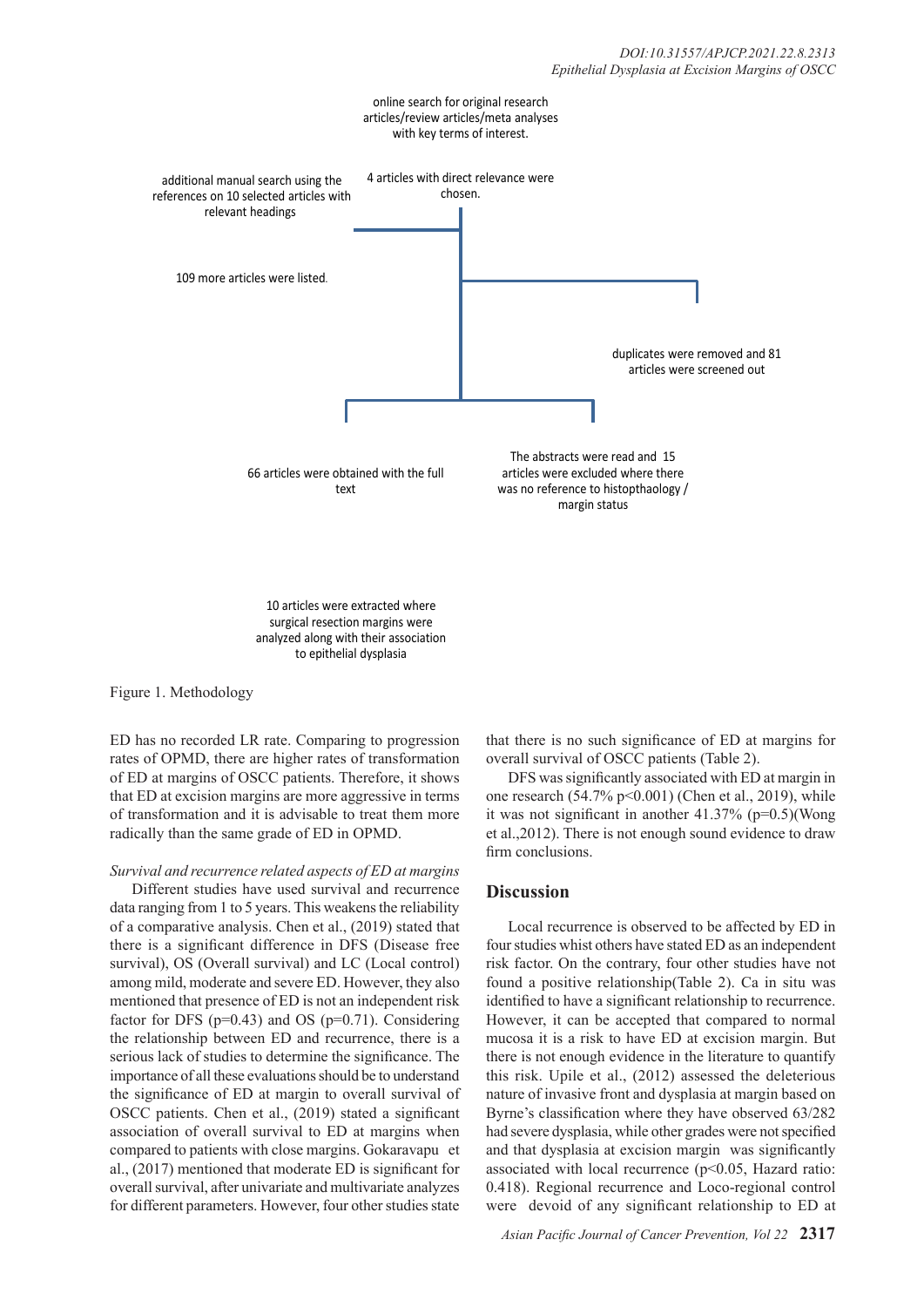

Figure 1. Methodology

ED has no recorded LR rate. Comparing to progression rates of OPMD, there are higher rates of transformation of ED at margins of OSCC patients. Therefore, it shows that ED at excision margins are more aggressive in terms of transformation and it is advisable to treat them more radically than the same grade of ED in OPMD.

to epithelial dysplasia

*Survival and recurrence related aspects of ED at margins*

Different studies have used survival and recurrence data ranging from 1 to 5 years. This weakens the reliability of a comparative analysis. Chen et al., (2019) stated that there is a significant difference in DFS (Disease free survival), OS (Overall survival) and LC (Local control) among mild, moderate and severe ED. However, they also mentioned that presence of ED is not an independent risk factor for DFS ( $p=0.43$ ) and OS ( $p=0.71$ ). Considering the relationship between ED and recurrence, there is a serious lack of studies to determine the significance. The importance of all these evaluations should be to understand the significance of ED at margin to overall survival of OSCC patients. Chen et al., (2019) stated a significant association of overall survival to ED at margins when compared to patients with close margins. Gokaravapu et al., (2017) mentioned that moderate ED is significant for overall survival, after univariate and multivariate analyzes for different parameters. However, four other studies state

that there is no such significance of ED at margins for overall survival of OSCC patients (Table 2).

DFS was significantly associated with ED at margin in one research  $(54.7\% \text{ p} < 0.001)$  (Chen et al., 2019), while it was not significant in another  $41.37\%$  (p=0.5)(Wong et al.,2012). There is not enough sound evidence to draw firm conclusions.

## **Discussion**

Local recurrence is observed to be affected by ED in four studies whist others have stated ED as an independent risk factor. On the contrary, four other studies have not found a positive relationship(Table 2). Ca in situ was identified to have a significant relationship to recurrence. However, it can be accepted that compared to normal mucosa it is a risk to have ED at excision margin. But there is not enough evidence in the literature to quantify this risk. Upile et al., (2012) assessed the deleterious nature of invasive front and dysplasia at margin based on Byrne's classification where they have observed 63/282 had severe dysplasia, while other grades were not specified and that dysplasia at excision margin was significantly associated with local recurrence ( $p$ <0.05, Hazard ratio: 0.418). Regional recurrence and Loco-regional control were devoid of any significant relationship to ED at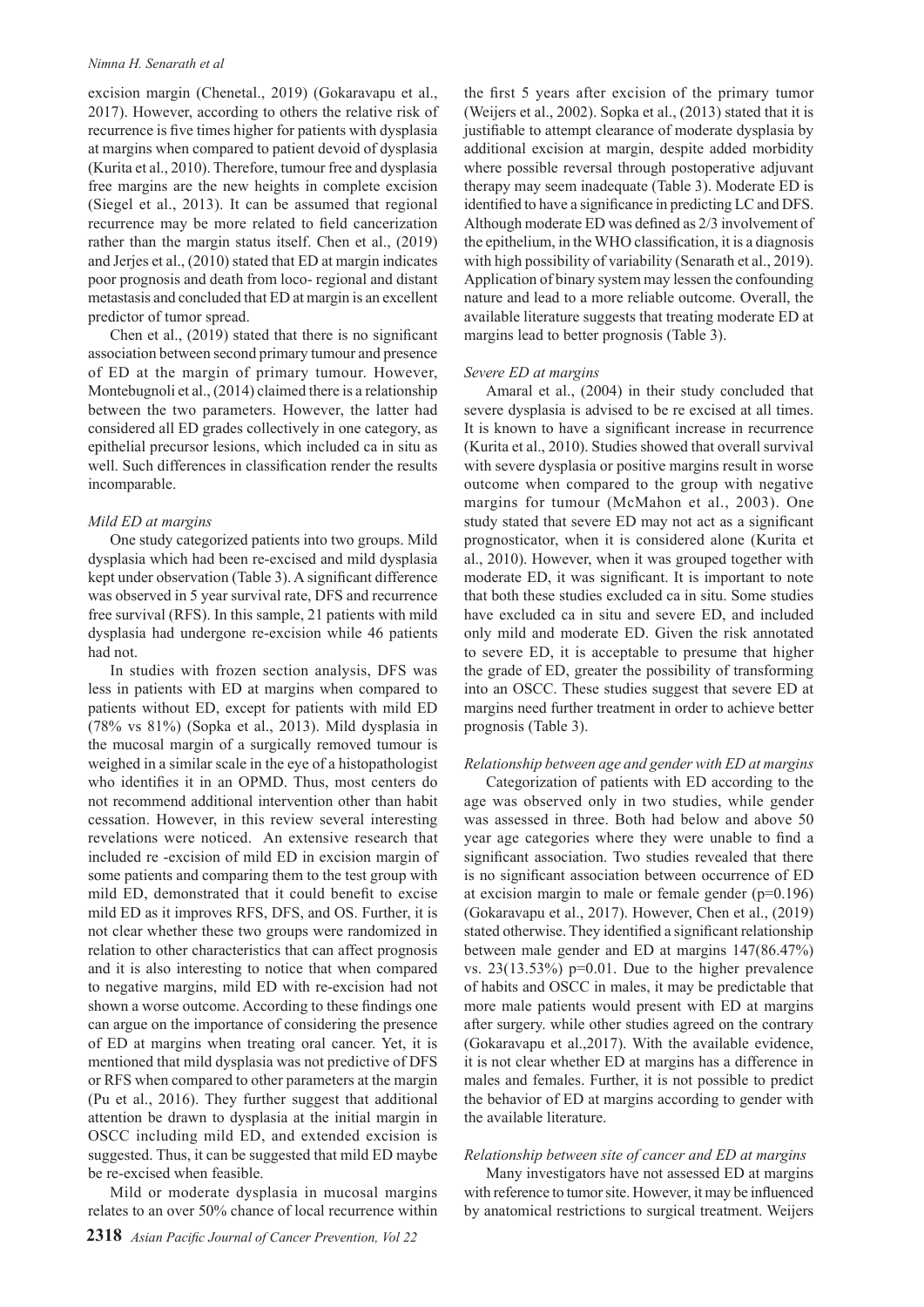#### *Nimna H. Senarath et al*

excision margin (Chenetal., 2019) (Gokaravapu et al., 2017). However, according to others the relative risk of recurrence is five times higher for patients with dysplasia at margins when compared to patient devoid of dysplasia (Kurita et al., 2010). Therefore, tumour free and dysplasia free margins are the new heights in complete excision (Siegel et al., 2013). It can be assumed that regional recurrence may be more related to field cancerization rather than the margin status itself. Chen et al., (2019) and Jerjes et al., (2010) stated that ED at margin indicates poor prognosis and death from loco- regional and distant metastasis and concluded that ED at margin is an excellent predictor of tumor spread.

Chen et al., (2019) stated that there is no significant association between second primary tumour and presence of ED at the margin of primary tumour. However, Montebugnoli et al., (2014) claimed there is a relationship between the two parameters. However, the latter had considered all ED grades collectively in one category, as epithelial precursor lesions, which included ca in situ as well. Such differences in classification render the results incomparable.

#### *Mild ED at margins*

One study categorized patients into two groups. Mild dysplasia which had been re-excised and mild dysplasia kept under observation (Table 3). A significant difference was observed in 5 year survival rate, DFS and recurrence free survival (RFS). In this sample, 21 patients with mild dysplasia had undergone re-excision while 46 patients had not.

In studies with frozen section analysis, DFS was less in patients with ED at margins when compared to patients without ED, except for patients with mild ED (78% vs 81%) (Sopka et al., 2013). Mild dysplasia in the mucosal margin of a surgically removed tumour is weighed in a similar scale in the eye of a histopathologist who identifies it in an OPMD. Thus, most centers do not recommend additional intervention other than habit cessation. However, in this review several interesting revelations were noticed. An extensive research that included re -excision of mild ED in excision margin of some patients and comparing them to the test group with mild ED, demonstrated that it could benefit to excise mild ED as it improves RFS, DFS, and OS. Further, it is not clear whether these two groups were randomized in relation to other characteristics that can affect prognosis and it is also interesting to notice that when compared to negative margins, mild ED with re-excision had not shown a worse outcome. According to these findings one can argue on the importance of considering the presence of ED at margins when treating oral cancer. Yet, it is mentioned that mild dysplasia was not predictive of DFS or RFS when compared to other parameters at the margin (Pu et al., 2016). They further suggest that additional attention be drawn to dysplasia at the initial margin in OSCC including mild ED, and extended excision is suggested. Thus, it can be suggested that mild ED maybe be re-excised when feasible.

Mild or moderate dysplasia in mucosal margins relates to an over 50% chance of local recurrence within the first 5 years after excision of the primary tumor (Weijers et al., 2002). Sopka et al., (2013) stated that it is justifiable to attempt clearance of moderate dysplasia by additional excision at margin, despite added morbidity where possible reversal through postoperative adjuvant therapy may seem inadequate (Table 3). Moderate ED is identified to have a significance in predicting LC and DFS. Although moderate ED was defined as 2/3 involvement of the epithelium, in the WHO classification, it is a diagnosis with high possibility of variability (Senarath et al., 2019). Application of binary system may lessen the confounding nature and lead to a more reliable outcome. Overall, the available literature suggests that treating moderate ED at margins lead to better prognosis (Table 3).

#### *Severe ED at margins*

Amaral et al., (2004) in their study concluded that severe dysplasia is advised to be re excised at all times. It is known to have a significant increase in recurrence (Kurita et al., 2010). Studies showed that overall survival with severe dysplasia or positive margins result in worse outcome when compared to the group with negative margins for tumour (McMahon et al., 2003). One study stated that severe ED may not act as a significant prognosticator, when it is considered alone (Kurita et al., 2010). However, when it was grouped together with moderate ED, it was significant. It is important to note that both these studies excluded ca in situ. Some studies have excluded ca in situ and severe ED, and included only mild and moderate ED. Given the risk annotated to severe ED, it is acceptable to presume that higher the grade of ED, greater the possibility of transforming into an OSCC. These studies suggest that severe ED at margins need further treatment in order to achieve better prognosis (Table 3).

#### *Relationship between age and gender with ED at margins*

Categorization of patients with ED according to the age was observed only in two studies, while gender was assessed in three. Both had below and above 50 year age categories where they were unable to find a significant association. Two studies revealed that there is no significant association between occurrence of ED at excision margin to male or female gender (p=0.196) (Gokaravapu et al., 2017). However, Chen et al., (2019) stated otherwise. They identified a significant relationship between male gender and ED at margins 147(86.47%) vs.  $23(13.53%)$  p=0.01. Due to the higher prevalence of habits and OSCC in males, it may be predictable that more male patients would present with ED at margins after surgery. while other studies agreed on the contrary (Gokaravapu et al.,2017). With the available evidence, it is not clear whether ED at margins has a difference in males and females. Further, it is not possible to predict the behavior of ED at margins according to gender with the available literature.

#### *Relationship between site of cancer and ED at margins*

Many investigators have not assessed ED at margins with reference to tumor site. However, it may be influenced by anatomical restrictions to surgical treatment. Weijers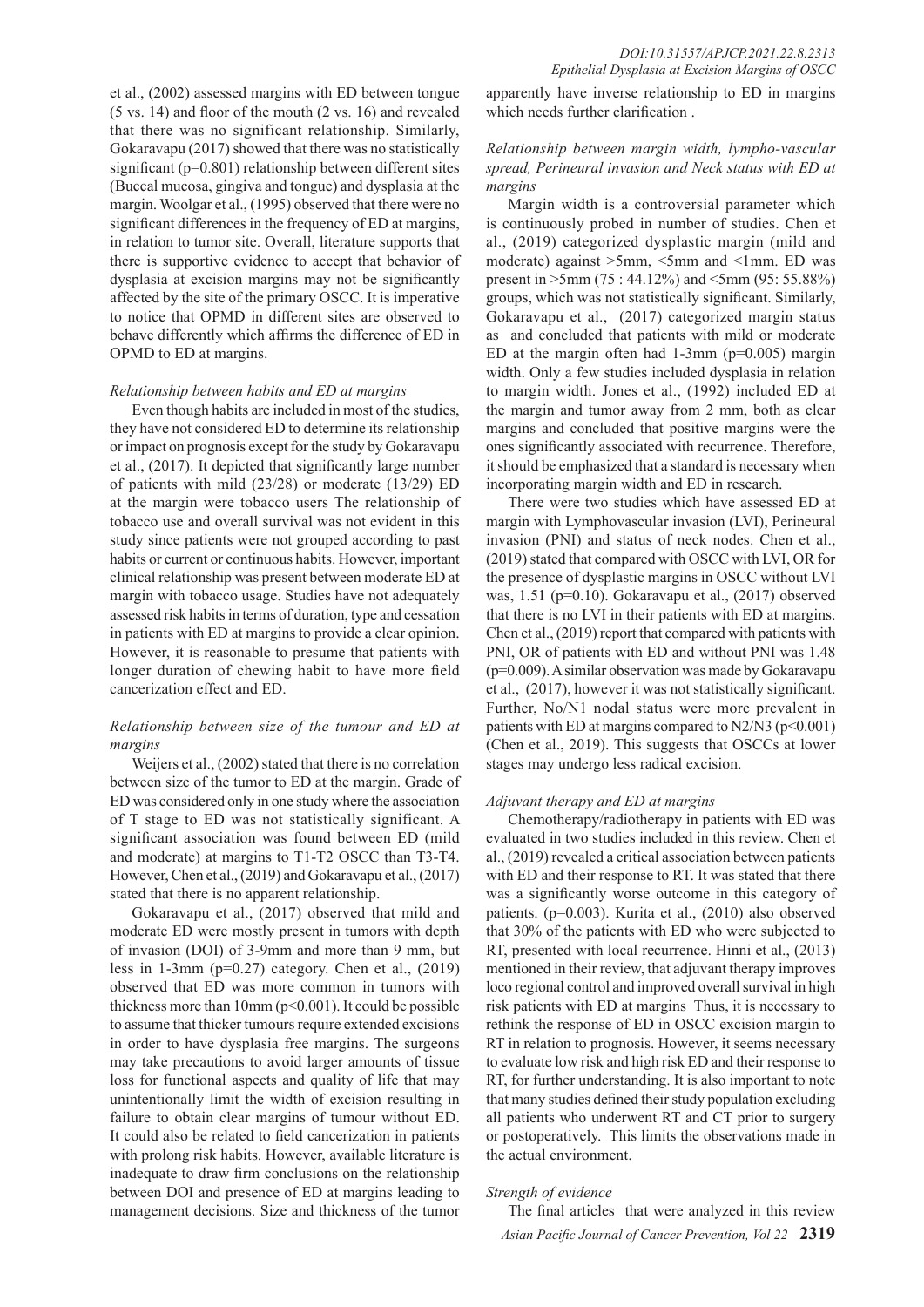et al., (2002) assessed margins with ED between tongue (5 vs. 14) and floor of the mouth (2 vs. 16) and revealed that there was no significant relationship. Similarly, Gokaravapu (2017) showed that there was no statistically significant (p=0.801) relationship between different sites (Buccal mucosa, gingiva and tongue) and dysplasia at the margin. Woolgar et al., (1995) observed that there were no significant differences in the frequency of ED at margins, in relation to tumor site. Overall, literature supports that there is supportive evidence to accept that behavior of dysplasia at excision margins may not be significantly affected by the site of the primary OSCC. It is imperative to notice that OPMD in different sites are observed to behave differently which affirms the difference of ED in OPMD to ED at margins.

#### *Relationship between habits and ED at margins*

Even though habits are included in most of the studies, they have not considered ED to determine its relationship or impact on prognosis except for the study by Gokaravapu et al., (2017). It depicted that significantly large number of patients with mild (23/28) or moderate (13/29) ED at the margin were tobacco users The relationship of tobacco use and overall survival was not evident in this study since patients were not grouped according to past habits or current or continuous habits. However, important clinical relationship was present between moderate ED at margin with tobacco usage. Studies have not adequately assessed risk habits in terms of duration, type and cessation in patients with ED at margins to provide a clear opinion. However, it is reasonable to presume that patients with longer duration of chewing habit to have more field cancerization effect and ED.

## *Relationship between size of the tumour and ED at margins*

Weijers et al., (2002) stated that there is no correlation between size of the tumor to ED at the margin. Grade of ED was considered only in one study where the association of T stage to ED was not statistically significant. A significant association was found between ED (mild and moderate) at margins to T1-T2 OSCC than T3-T4. However, Chen et al., (2019) and Gokaravapu et al., (2017) stated that there is no apparent relationship.

Gokaravapu et al., (2017) observed that mild and moderate ED were mostly present in tumors with depth of invasion (DOI) of 3-9mm and more than 9 mm, but less in 1-3mm (p=0.27) category. Chen et al., (2019) observed that ED was more common in tumors with thickness more than  $10 \text{mm}$  ( $p \le 0.001$ ). It could be possible to assume that thicker tumours require extended excisions in order to have dysplasia free margins. The surgeons may take precautions to avoid larger amounts of tissue loss for functional aspects and quality of life that may unintentionally limit the width of excision resulting in failure to obtain clear margins of tumour without ED. It could also be related to field cancerization in patients with prolong risk habits. However, available literature is inadequate to draw firm conclusions on the relationship between DOI and presence of ED at margins leading to management decisions. Size and thickness of the tumor apparently have inverse relationship to ED in margins which needs further clarification .

## *Relationship between margin width, lympho-vascular spread, Perineural invasion and Neck status with ED at margins*

Margin width is a controversial parameter which is continuously probed in number of studies. Chen et al., (2019) categorized dysplastic margin (mild and moderate) against >5mm, <5mm and <1mm. ED was present in >5mm (75 : 44.12%) and <5mm (95: 55.88%) groups, which was not statistically significant. Similarly, Gokaravapu et al., (2017) categorized margin status as and concluded that patients with mild or moderate ED at the margin often had  $1-3$ mm ( $p=0.005$ ) margin width. Only a few studies included dysplasia in relation to margin width. Jones et al., (1992) included ED at the margin and tumor away from 2 mm, both as clear margins and concluded that positive margins were the ones significantly associated with recurrence. Therefore, it should be emphasized that a standard is necessary when incorporating margin width and ED in research.

There were two studies which have assessed ED at margin with Lymphovascular invasion (LVI), Perineural invasion (PNI) and status of neck nodes. Chen et al., (2019) stated that compared with OSCC with LVI, OR for the presence of dysplastic margins in OSCC without LVI was, 1.51 (p=0.10). Gokaravapu et al., (2017) observed that there is no LVI in their patients with ED at margins. Chen et al., (2019) report that compared with patients with PNI, OR of patients with ED and without PNI was 1.48 (p=0.009). A similar observation was made by Gokaravapu et al., (2017), however it was not statistically significant. Further, No/N1 nodal status were more prevalent in patients with ED at margins compared to  $N2/N3$  ( $p<0.001$ ) (Chen et al., 2019). This suggests that OSCCs at lower stages may undergo less radical excision.

#### *Adjuvant therapy and ED at margins*

Chemotherapy/radiotherapy in patients with ED was evaluated in two studies included in this review. Chen et al., (2019) revealed a critical association between patients with ED and their response to RT. It was stated that there was a significantly worse outcome in this category of patients. (p=0.003). Kurita et al., (2010) also observed that 30% of the patients with ED who were subjected to RT, presented with local recurrence. Hinni et al., (2013) mentioned in their review, that adjuvant therapy improves loco regional control and improved overall survival in high risk patients with ED at margins Thus, it is necessary to rethink the response of ED in OSCC excision margin to RT in relation to prognosis. However, it seems necessary to evaluate low risk and high risk ED and their response to RT, for further understanding. It is also important to note that many studies defined their study population excluding all patients who underwent RT and CT prior to surgery or postoperatively. This limits the observations made in the actual environment.

#### *Strength of evidence*

*Asian Pacific Journal of Cancer Prevention, Vol 22* **2319** The final articles that were analyzed in this review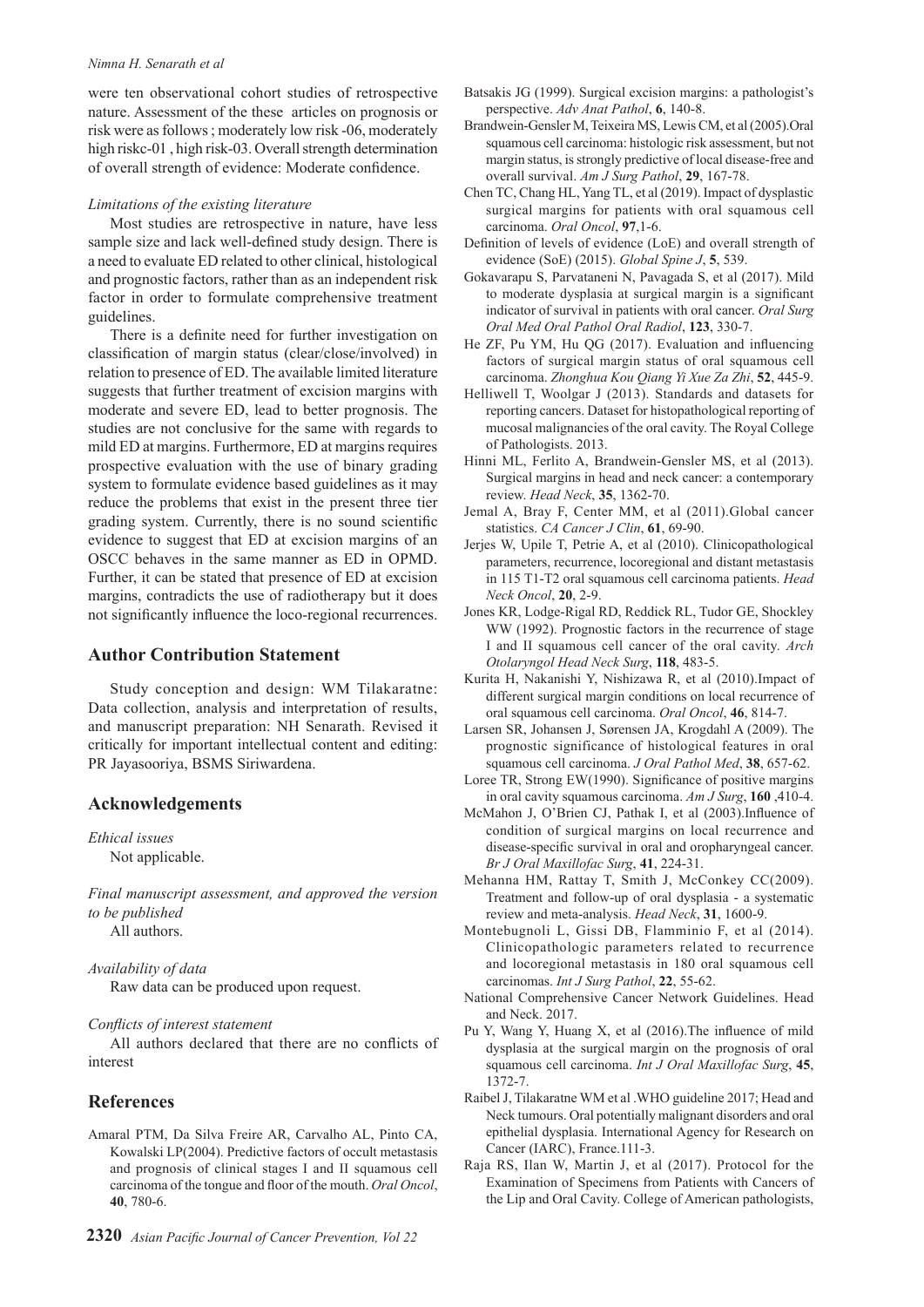#### *Nimna H. Senarath et al*

were ten observational cohort studies of retrospective nature. Assessment of the these articles on prognosis or risk were as follows ; moderately low risk -06, moderately high riskc-01, high risk-03. Overall strength determination of overall strength of evidence: Moderate confidence.

#### *Limitations of the existing literature*

Most studies are retrospective in nature, have less sample size and lack well-defined study design. There is a need to evaluate ED related to other clinical, histological and prognostic factors, rather than as an independent risk factor in order to formulate comprehensive treatment guidelines.

There is a definite need for further investigation on classification of margin status (clear/close/involved) in relation to presence of ED. The available limited literature suggests that further treatment of excision margins with moderate and severe ED, lead to better prognosis. The studies are not conclusive for the same with regards to mild ED at margins. Furthermore, ED at margins requires prospective evaluation with the use of binary grading system to formulate evidence based guidelines as it may reduce the problems that exist in the present three tier grading system. Currently, there is no sound scientific evidence to suggest that ED at excision margins of an OSCC behaves in the same manner as ED in OPMD. Further, it can be stated that presence of ED at excision margins, contradicts the use of radiotherapy but it does not significantly influence the loco-regional recurrences.

## **Author Contribution Statement**

Study conception and design: WM Tilakaratne: Data collection, analysis and interpretation of results, and manuscript preparation: NH Senarath. Revised it critically for important intellectual content and editing: PR Jayasooriya, BSMS Siriwardena.

## **Acknowledgements**

*Ethical issues* Not applicable.

*Final manuscript assessment, and approved the version to be published* All authors.

#### *Availability of data*

Raw data can be produced upon request.

#### *Conflicts of interest statement*

All authors declared that there are no conflicts of interest

## **References**

Amaral PTM, Da Silva Freire AR, Carvalho AL, Pinto CA, Kowalski LP(2004). Predictive factors of occult metastasis and prognosis of clinical stages I and II squamous cell carcinoma of the tongue and floor of the mouth. *Oral Oncol*, **40**, 780-6.

- Batsakis JG (1999). Surgical excision margins: a pathologist's perspective. *Adv Anat Pathol*, **6**, 140-8.
- Brandwein-Gensler M, Teixeira MS, Lewis CM, et al (2005).Oral squamous cell carcinoma: histologic risk assessment, but not margin status, is strongly predictive of local disease-free and overall survival. *Am J Surg Pathol*, **29**, 167-78.
- Chen TC, Chang HL, Yang TL, et al (2019). Impact of dysplastic surgical margins for patients with oral squamous cell carcinoma. *Oral Oncol*, **97**,1-6.
- Definition of levels of evidence (LoE) and overall strength of evidence (SoE) (2015). *Global Spine J*, **5**, 539.
- Gokavarapu S, Parvataneni N, Pavagada S, et al (2017). Mild to moderate dysplasia at surgical margin is a significant indicator of survival in patients with oral cancer. *Oral Surg Oral Med Oral Pathol Oral Radiol*, **123**, 330-7.
- He ZF, Pu YM, Hu QG (2017). Evaluation and influencing factors of surgical margin status of oral squamous cell carcinoma. *Zhonghua Kou Qiang Yi Xue Za Zhi*, **52**, 445-9.
- Helliwell T, Woolgar J (2013). Standards and datasets for reporting cancers. Dataset for histopathological reporting of mucosal malignancies of the oral cavity. The Royal College of Pathologists. 2013.
- Hinni ML, Ferlito A, Brandwein-Gensler MS, et al (2013). Surgical margins in head and neck cancer: a contemporary review. *Head Neck*, **35**, 1362-70.
- Jemal A, Bray F, Center MM, et al (2011).Global cancer statistics. *CA Cancer J Clin*, **61**, 69-90.
- Jerjes W, Upile T, Petrie A, et al (2010). Clinicopathological parameters, recurrence, locoregional and distant metastasis in 115 T1-T2 oral squamous cell carcinoma patients. *Head Neck Oncol*, **20**, 2-9.
- Jones KR, Lodge-Rigal RD, Reddick RL, Tudor GE, Shockley WW (1992). Prognostic factors in the recurrence of stage I and II squamous cell cancer of the oral cavity. *Arch Otolaryngol Head Neck Surg*, **118**, 483-5.
- Kurita H, Nakanishi Y, Nishizawa R, et al (2010).Impact of different surgical margin conditions on local recurrence of oral squamous cell carcinoma. *Oral Oncol*, **46**, 814-7.
- Larsen SR, Johansen J, Sørensen JA, Krogdahl A (2009). The prognostic significance of histological features in oral squamous cell carcinoma. *J Oral Pathol Med*, **38**, 657-62.
- Loree TR, Strong EW(1990). Significance of positive margins in oral cavity squamous carcinoma. *Am J Surg*, **160** ,410-4.
- McMahon J, O'Brien CJ, Pathak I, et al (2003).Influence of condition of surgical margins on local recurrence and disease-specific survival in oral and oropharyngeal cancer. *Br J Oral Maxillofac Surg*, **41**, 224-31.
- Mehanna HM, Rattay T, Smith J, McConkey CC(2009). Treatment and follow-up of oral dysplasia - a systematic review and meta-analysis. *Head Neck*, **31**, 1600-9.
- Montebugnoli L, Gissi DB, Flamminio F, et al (2014). Clinicopathologic parameters related to recurrence and locoregional metastasis in 180 oral squamous cell carcinomas. *Int J Surg Pathol*, **22**, 55-62.
- National Comprehensive Cancer Network Guidelines. Head and Neck. 2017.
- Pu Y, Wang Y, Huang X, et al (2016).The influence of mild dysplasia at the surgical margin on the prognosis of oral squamous cell carcinoma. *Int J Oral Maxillofac Surg*, **45**, 1372-7.
- Raibel J, Tilakaratne WM et al .WHO guideline 2017; Head and Neck tumours. Oral potentially malignant disorders and oral epithelial dysplasia. International Agency for Research on Cancer (IARC), France.111-3.
- Raja RS, Ilan W, Martin J, et al (2017). Protocol for the Examination of Specimens from Patients with Cancers of the Lip and Oral Cavity. College of American pathologists,